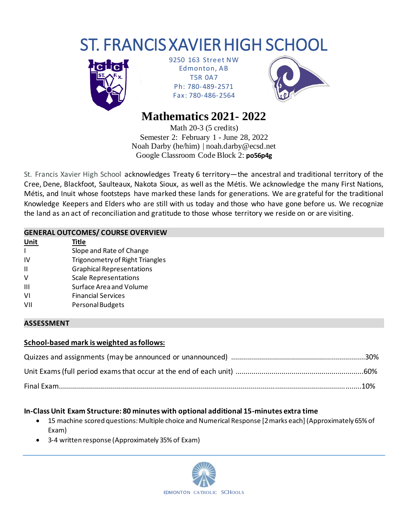# ST. FRANCIS XAVIER HIGH SCHOOL



9250 163 Street NW Edmonton, AB T5R 0A7 Ph: 780-489-2571 Fax: 780-486-2564



# **Mathematics 2021- 2022**

Math 20-3 (5 credits) Semester 2: February 1 - June 28, 2022 Noah Darby (he/him) | noah.darby@ecsd.net Google Classroom Code Block 2: **po56p4g**

St. Francis Xavier High School acknowledges Treaty 6 territory—the ancestral and traditional territory of the Cree, Dene, Blackfoot, Saulteaux, Nakota Sioux, as well as the Métis. We acknowledge the many First Nations, Métis, and Inuit whose footsteps have marked these lands for generations. We are grateful for the traditional Knowledge Keepers and Elders who are still with us today and those who have gone before us. We recognize the land as an act of reconciliation and gratitude to those whose territory we reside on or are visiting.

# **GENERAL OUTCOMES/ COURSE OVERVIEW**

**Unit Title** I Slope and Rate of Change IV Trigonometry of Right Triangles II Graphical Representations V Scale Representations III Surface Area and Volume VI Financial Services VII Personal Budgets

#### **ASSESSMENT**

# **School-based mark is weighted as follows:**

# **In-Class Unit Exam Structure: 80 minutes with optional additional 15-minutes extra time**

- 15 machine scored questions: Multiple choice and Numerical Response [2 marks each] (Approximately 65% of Exam)
- 3-4 written response (Approximately 35% of Exam)

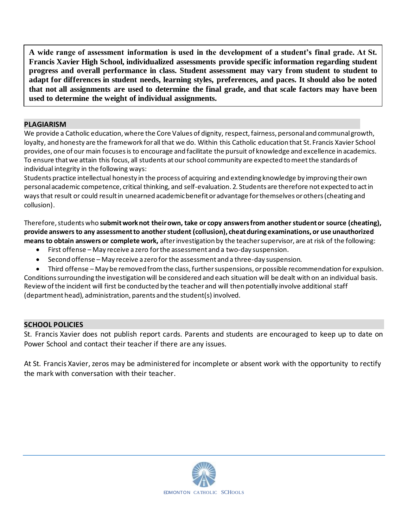**A wide range of assessment information is used in the development of a student's final grade. At St. Francis Xavier High School, individualized assessments provide specific information regarding student progress and overall performance in class. Student assessment may vary from student to student to adapt for differences in student needs, learning styles, preferences, and paces. It should also be noted that not all assignments are used to determine the final grade, and that scale factors may have been used to determine the weight of individual assignments.**

#### **PLAGIARISM**

We provide a Catholic education, where the Core Values of dignity, respect, fairness, personal and communal growth, loyalty, and honesty are the framework for all that we do. Within this Catholic education that St. Francis Xavier School provides, one of our main focuses is to encourage and facilitate the pursuit of knowledge and excellence in academics. To ensure that we attain this focus, all students at our school community are expected to meet the standards of individual integrity in the following ways:

Students practice intellectual honesty in the process of acquiring and extending knowledge by improving their own personal academic competence, critical thinking, and self-evaluation. 2. Students are therefore not expected to act in ways that result or could result in unearned academic benefit or advantage for themselves or others (cheating and collusion).

Therefore, students who **submit work not their own, take or copy answers from another student or source (cheating), provide answers to any assessment to another student (collusion), cheat during examinations, or use unauthorized means to obtain answers or complete work,** after investigation by the teacher supervisor, are at risk of the following:

- First offense May receive a zero for the assessment and a two-day suspension.
- Second offense May receive a zero for the assessment and a three-day suspension.

• Third offense – May be removed from the class, further suspensions, or possible recommendation for expulsion. Conditions surrounding the investigation will be considered and each situation will be dealt with on an individual basis. Review of the incident will first be conducted by the teacher and will then potentially involve additional staff (department head), administration, parents and the student(s) involved.

#### **SCHOOL POLICIES**

St. Francis Xavier does not publish report cards. Parents and students are encouraged to keep up to date on Power School and contact their teacher if there are any issues.

At St. Francis Xavier, zeros may be administered for incomplete or absent work with the opportunity to rectify the mark with conversation with their teacher.